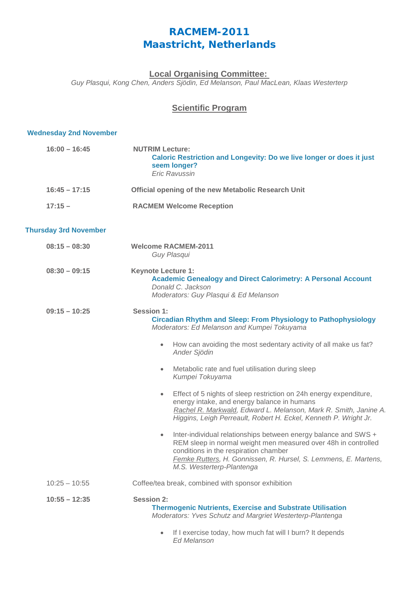## **RACMEM-2011** *Maastricht, Netherlands*

## **Local Organising Committee:**

*Guy Plasqui, Kong Chen, Anders Sjödin, Ed Melanson, Paul MacLean, Klaas Westerterp*

## **Scientific Program**

## **Wednesday 2nd November**

| $16:00 - 16:45$              | <b>NUTRIM Lecture:</b><br>Caloric Restriction and Longevity: Do we live longer or does it just<br>seem longer?<br><b>Eric Ravussin</b>                                                                                                                                                                                                                                                                                                                                                                                                                                                                                                                                                                                                                     |
|------------------------------|------------------------------------------------------------------------------------------------------------------------------------------------------------------------------------------------------------------------------------------------------------------------------------------------------------------------------------------------------------------------------------------------------------------------------------------------------------------------------------------------------------------------------------------------------------------------------------------------------------------------------------------------------------------------------------------------------------------------------------------------------------|
| $16:45 - 17:15$              | Official opening of the new Metabolic Research Unit                                                                                                                                                                                                                                                                                                                                                                                                                                                                                                                                                                                                                                                                                                        |
| $17:15 -$                    | <b>RACMEM Welcome Reception</b>                                                                                                                                                                                                                                                                                                                                                                                                                                                                                                                                                                                                                                                                                                                            |
| <b>Thursday 3rd November</b> |                                                                                                                                                                                                                                                                                                                                                                                                                                                                                                                                                                                                                                                                                                                                                            |
| $08:15 - 08:30$              | <b>Welcome RACMEM-2011</b><br>Guy Plasqui                                                                                                                                                                                                                                                                                                                                                                                                                                                                                                                                                                                                                                                                                                                  |
| $08:30 - 09:15$              | <b>Keynote Lecture 1:</b><br><b>Academic Genealogy and Direct Calorimetry: A Personal Account</b><br>Donald C. Jackson<br>Moderators: Guy Plasqui & Ed Melanson                                                                                                                                                                                                                                                                                                                                                                                                                                                                                                                                                                                            |
| $09:15 - 10:25$              | <b>Session 1:</b><br><b>Circadian Rhythm and Sleep: From Physiology to Pathophysiology</b><br>Moderators: Ed Melanson and Kumpei Tokuyama<br>How can avoiding the most sedentary activity of all make us fat?<br>$\bullet$<br>Ander Sjödin<br>Metabolic rate and fuel utilisation during sleep<br>$\bullet$<br>Kumpei Tokuyama<br>Effect of 5 nights of sleep restriction on 24h energy expenditure,<br>$\bullet$<br>energy intake, and energy balance in humans<br>Rachel R. Markwald, Edward L. Melanson, Mark R. Smith, Janine A.<br>Higgins, Leigh Perreault, Robert H. Eckel, Kenneth P. Wright Jr.<br>Inter-individual relationships between energy balance and SWS +<br>$\bullet$<br>REM sleep in normal weight men measured over 48h in controlled |
|                              | conditions in the respiration chamber<br>Femke Rutters, H. Gonnissen, R. Hursel, S. Lemmens, E. Martens,<br>M.S. Westerterp-Plantenga                                                                                                                                                                                                                                                                                                                                                                                                                                                                                                                                                                                                                      |
| $10:25 - 10:55$              | Coffee/tea break, combined with sponsor exhibition                                                                                                                                                                                                                                                                                                                                                                                                                                                                                                                                                                                                                                                                                                         |
| $10:55 - 12:35$              | <b>Session 2:</b><br><b>Thermogenic Nutrients, Exercise and Substrate Utilisation</b><br>Moderators: Yves Schutz and Margriet Westerterp-Plantenga<br>If I exercise today, how much fat will I burn? It depends<br>$\bullet$                                                                                                                                                                                                                                                                                                                                                                                                                                                                                                                               |
|                              | <b>Ed Melanson</b>                                                                                                                                                                                                                                                                                                                                                                                                                                                                                                                                                                                                                                                                                                                                         |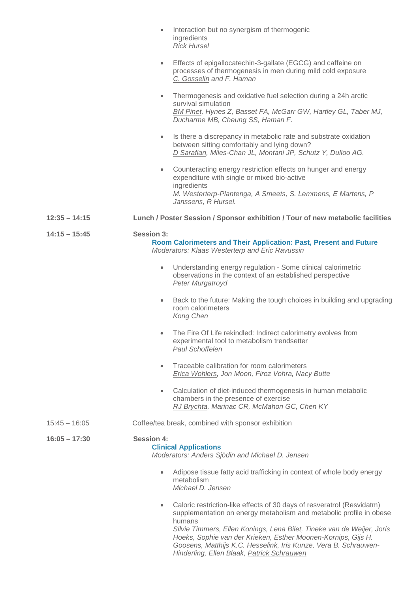|                 | Interaction but no synergism of thermogenic<br>$\bullet$<br>ingredients<br><b>Rick Hursel</b>                                                                                                                                                                                                                                                                                                                                     |
|-----------------|-----------------------------------------------------------------------------------------------------------------------------------------------------------------------------------------------------------------------------------------------------------------------------------------------------------------------------------------------------------------------------------------------------------------------------------|
|                 | Effects of epigallocatechin-3-gallate (EGCG) and caffeine on<br>$\bullet$<br>processes of thermogenesis in men during mild cold exposure<br>C. Gosselin and F. Haman                                                                                                                                                                                                                                                              |
|                 | Thermogenesis and oxidative fuel selection during a 24h arctic<br>$\bullet$<br>survival simulation<br>BM Pinet, Hynes Z, Basset FA, McGarr GW, Hartley GL, Taber MJ,<br>Ducharme MB, Cheung SS, Haman F.                                                                                                                                                                                                                          |
|                 | Is there a discrepancy in metabolic rate and substrate oxidation<br>$\bullet$<br>between sitting comfortably and lying down?<br>D Sarafian, Miles-Chan JL, Montani JP, Schutz Y, Dulloo AG.                                                                                                                                                                                                                                       |
|                 | Counteracting energy restriction effects on hunger and energy<br>$\bullet$<br>expenditure with single or mixed bio-active<br>ingredients<br>M. Westerterp-Plantenga, A Smeets, S. Lemmens, E Martens, P<br>Janssens, R Hursel.                                                                                                                                                                                                    |
| $12:35 - 14:15$ | Lunch / Poster Session / Sponsor exhibition / Tour of new metabolic facilities                                                                                                                                                                                                                                                                                                                                                    |
| $14:15 - 15:45$ | <b>Session 3:</b><br>Room Calorimeters and Their Application: Past, Present and Future<br>Moderators: Klaas Westerterp and Eric Ravussin                                                                                                                                                                                                                                                                                          |
|                 | Understanding energy regulation - Some clinical calorimetric<br>$\bullet$<br>observations in the context of an established perspective<br>Peter Murgatroyd                                                                                                                                                                                                                                                                        |
|                 | Back to the future: Making the tough choices in building and upgrading<br>$\bullet$<br>room calorimeters<br>Kong Chen                                                                                                                                                                                                                                                                                                             |
|                 | The Fire Of Life rekindled: Indirect calorimetry evolves from<br>$\bullet$<br>experimental tool to metabolism trendsetter<br><b>Paul Schoffelen</b>                                                                                                                                                                                                                                                                               |
|                 | Traceable calibration for room calorimeters<br>$\bullet$<br>Erica Wohlers, Jon Moon, Firoz Vohra, Nacy Butte                                                                                                                                                                                                                                                                                                                      |
|                 | Calculation of diet-induced thermogenesis in human metabolic<br>$\bullet$<br>chambers in the presence of exercise<br>RJ Brychta, Marinac CR, McMahon GC, Chen KY                                                                                                                                                                                                                                                                  |
| $15:45 - 16:05$ | Coffee/tea break, combined with sponsor exhibition                                                                                                                                                                                                                                                                                                                                                                                |
| $16:05 - 17:30$ | <b>Session 4:</b><br><b>Clinical Applications</b><br>Moderators: Anders Sjödin and Michael D. Jensen                                                                                                                                                                                                                                                                                                                              |
|                 | Adipose tissue fatty acid trafficking in context of whole body energy<br>$\bullet$<br>metabolism<br>Michael D. Jensen                                                                                                                                                                                                                                                                                                             |
|                 | Caloric restriction-like effects of 30 days of resveratrol (Resvidatm)<br>$\bullet$<br>supplementation on energy metabolism and metabolic profile in obese<br>humans<br>Silvie Timmers, Ellen Konings, Lena Bilet, Tineke van de Weijer, Joris<br>Hoeks, Sophie van der Krieken, Esther Moonen-Kornips, Gijs H.<br>Goosens, Matthijs K.C. Hesselink, Iris Kunze, Vera B. Schrauwen-<br>Hinderling, Ellen Blaak, Patrick Schrauwen |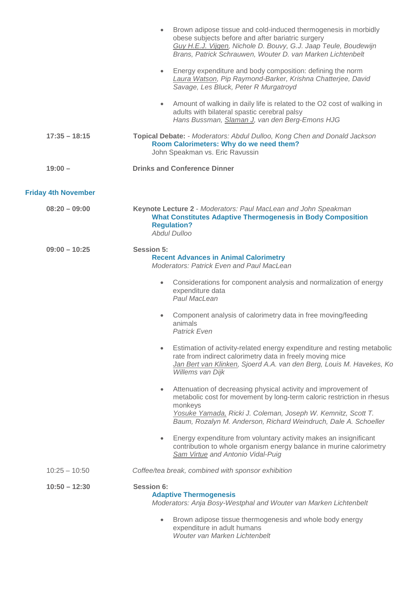| Energy expenditure and body composition: defining the norm<br>Laura Watson, Pip Raymond-Barker, Krishna Chatterjee, David<br>Savage, Les Bluck, Peter R Murgatroyd<br>Amount of walking in daily life is related to the O2 cost of walking in<br>$\bullet$<br>adults with bilateral spastic cerebral palsy<br>Hans Bussman, Slaman J, van den Berg-Emons HJG<br>Topical Debate: - Moderators: Abdul Dulloo, Kong Chen and Donald Jackson<br>$17:35 - 18:15$<br>Room Calorimeters: Why do we need them?<br>John Speakman vs. Eric Ravussin<br><b>Drinks and Conference Dinner</b><br>$19:00 -$<br><b>Friday 4th November</b><br>$08:20 - 09:00$<br>Keynote Lecture 2 - Moderators: Paul MacLean and John Speakman<br><b>What Constitutes Adaptive Thermogenesis in Body Composition</b><br><b>Regulation?</b><br><b>Abdul Dulloo</b><br>$09:00 - 10:25$<br><b>Session 5:</b><br><b>Recent Advances in Animal Calorimetry</b><br><b>Moderators: Patrick Even and Paul MacLean</b><br>Considerations for component analysis and normalization of energy<br>$\bullet$<br>expenditure data<br>Paul MacLean<br>Component analysis of calorimetry data in free moving/feeding<br>$\bullet$<br>animals<br><b>Patrick Even</b><br>rate from indirect calorimetry data in freely moving mice<br>Willems van Dijk<br>Attenuation of decreasing physical activity and improvement of<br>$\bullet$<br>monkeys<br>Yosuke Yamada, Ricki J. Coleman, Joseph W. Kemnitz, Scott T.<br>Baum, Rozalyn M. Anderson, Richard Weindruch, Dale A. Schoeller<br>Energy expenditure from voluntary activity makes an insignificant<br>contribution to whole organism energy balance in murine calorimetry<br>Sam Virtue and Antonio Vidal-Puig<br>Coffee/tea break, combined with sponsor exhibition<br>$10:25 - 10:50$<br><b>Session 6:</b><br>$10:50 - 12:30$<br><b>Adaptive Thermogenesis</b><br>Moderators: Anja Bosy-Westphal and Wouter van Marken Lichtenbelt<br>Brown adipose tissue thermogenesis and whole body energy<br>expenditure in adult humans<br>Wouter van Marken Lichtenbelt |  | Brown adipose tissue and cold-induced thermogenesis in morbidly<br>obese subjects before and after bariatric surgery<br>Guy H.E.J. Vijgen, Nichole D. Bouvy, G.J. Jaap Teule, Boudewijn<br>Brans, Patrick Schrauwen, Wouter D. van Marken Lichtenbelt |
|------------------------------------------------------------------------------------------------------------------------------------------------------------------------------------------------------------------------------------------------------------------------------------------------------------------------------------------------------------------------------------------------------------------------------------------------------------------------------------------------------------------------------------------------------------------------------------------------------------------------------------------------------------------------------------------------------------------------------------------------------------------------------------------------------------------------------------------------------------------------------------------------------------------------------------------------------------------------------------------------------------------------------------------------------------------------------------------------------------------------------------------------------------------------------------------------------------------------------------------------------------------------------------------------------------------------------------------------------------------------------------------------------------------------------------------------------------------------------------------------------------------------------------------------------------------------------------------------------------------------------------------------------------------------------------------------------------------------------------------------------------------------------------------------------------------------------------------------------------------------------------------------------------------------------------------------------------------------------------------------------------------------------------------------------------------------|--|-------------------------------------------------------------------------------------------------------------------------------------------------------------------------------------------------------------------------------------------------------|
|                                                                                                                                                                                                                                                                                                                                                                                                                                                                                                                                                                                                                                                                                                                                                                                                                                                                                                                                                                                                                                                                                                                                                                                                                                                                                                                                                                                                                                                                                                                                                                                                                                                                                                                                                                                                                                                                                                                                                                                                                                                                        |  |                                                                                                                                                                                                                                                       |
|                                                                                                                                                                                                                                                                                                                                                                                                                                                                                                                                                                                                                                                                                                                                                                                                                                                                                                                                                                                                                                                                                                                                                                                                                                                                                                                                                                                                                                                                                                                                                                                                                                                                                                                                                                                                                                                                                                                                                                                                                                                                        |  |                                                                                                                                                                                                                                                       |
|                                                                                                                                                                                                                                                                                                                                                                                                                                                                                                                                                                                                                                                                                                                                                                                                                                                                                                                                                                                                                                                                                                                                                                                                                                                                                                                                                                                                                                                                                                                                                                                                                                                                                                                                                                                                                                                                                                                                                                                                                                                                        |  |                                                                                                                                                                                                                                                       |
|                                                                                                                                                                                                                                                                                                                                                                                                                                                                                                                                                                                                                                                                                                                                                                                                                                                                                                                                                                                                                                                                                                                                                                                                                                                                                                                                                                                                                                                                                                                                                                                                                                                                                                                                                                                                                                                                                                                                                                                                                                                                        |  |                                                                                                                                                                                                                                                       |
|                                                                                                                                                                                                                                                                                                                                                                                                                                                                                                                                                                                                                                                                                                                                                                                                                                                                                                                                                                                                                                                                                                                                                                                                                                                                                                                                                                                                                                                                                                                                                                                                                                                                                                                                                                                                                                                                                                                                                                                                                                                                        |  |                                                                                                                                                                                                                                                       |
|                                                                                                                                                                                                                                                                                                                                                                                                                                                                                                                                                                                                                                                                                                                                                                                                                                                                                                                                                                                                                                                                                                                                                                                                                                                                                                                                                                                                                                                                                                                                                                                                                                                                                                                                                                                                                                                                                                                                                                                                                                                                        |  |                                                                                                                                                                                                                                                       |
|                                                                                                                                                                                                                                                                                                                                                                                                                                                                                                                                                                                                                                                                                                                                                                                                                                                                                                                                                                                                                                                                                                                                                                                                                                                                                                                                                                                                                                                                                                                                                                                                                                                                                                                                                                                                                                                                                                                                                                                                                                                                        |  |                                                                                                                                                                                                                                                       |
|                                                                                                                                                                                                                                                                                                                                                                                                                                                                                                                                                                                                                                                                                                                                                                                                                                                                                                                                                                                                                                                                                                                                                                                                                                                                                                                                                                                                                                                                                                                                                                                                                                                                                                                                                                                                                                                                                                                                                                                                                                                                        |  |                                                                                                                                                                                                                                                       |
|                                                                                                                                                                                                                                                                                                                                                                                                                                                                                                                                                                                                                                                                                                                                                                                                                                                                                                                                                                                                                                                                                                                                                                                                                                                                                                                                                                                                                                                                                                                                                                                                                                                                                                                                                                                                                                                                                                                                                                                                                                                                        |  |                                                                                                                                                                                                                                                       |
|                                                                                                                                                                                                                                                                                                                                                                                                                                                                                                                                                                                                                                                                                                                                                                                                                                                                                                                                                                                                                                                                                                                                                                                                                                                                                                                                                                                                                                                                                                                                                                                                                                                                                                                                                                                                                                                                                                                                                                                                                                                                        |  | Estimation of activity-related energy expenditure and resting metabolic<br>Jan Bert van Klinken, Sjoerd A.A. van den Berg, Louis M. Havekes, Ko                                                                                                       |
|                                                                                                                                                                                                                                                                                                                                                                                                                                                                                                                                                                                                                                                                                                                                                                                                                                                                                                                                                                                                                                                                                                                                                                                                                                                                                                                                                                                                                                                                                                                                                                                                                                                                                                                                                                                                                                                                                                                                                                                                                                                                        |  | metabolic cost for movement by long-term caloric restriction in rhesus                                                                                                                                                                                |
|                                                                                                                                                                                                                                                                                                                                                                                                                                                                                                                                                                                                                                                                                                                                                                                                                                                                                                                                                                                                                                                                                                                                                                                                                                                                                                                                                                                                                                                                                                                                                                                                                                                                                                                                                                                                                                                                                                                                                                                                                                                                        |  |                                                                                                                                                                                                                                                       |
|                                                                                                                                                                                                                                                                                                                                                                                                                                                                                                                                                                                                                                                                                                                                                                                                                                                                                                                                                                                                                                                                                                                                                                                                                                                                                                                                                                                                                                                                                                                                                                                                                                                                                                                                                                                                                                                                                                                                                                                                                                                                        |  |                                                                                                                                                                                                                                                       |
|                                                                                                                                                                                                                                                                                                                                                                                                                                                                                                                                                                                                                                                                                                                                                                                                                                                                                                                                                                                                                                                                                                                                                                                                                                                                                                                                                                                                                                                                                                                                                                                                                                                                                                                                                                                                                                                                                                                                                                                                                                                                        |  |                                                                                                                                                                                                                                                       |
|                                                                                                                                                                                                                                                                                                                                                                                                                                                                                                                                                                                                                                                                                                                                                                                                                                                                                                                                                                                                                                                                                                                                                                                                                                                                                                                                                                                                                                                                                                                                                                                                                                                                                                                                                                                                                                                                                                                                                                                                                                                                        |  |                                                                                                                                                                                                                                                       |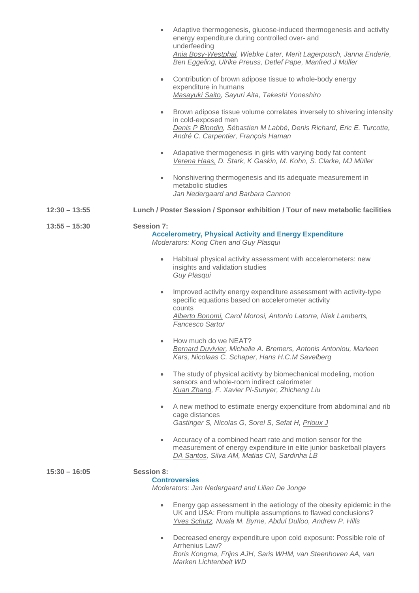|                 | Adaptive thermogenesis, glucose-induced thermogenesis and activity<br>energy expenditure during controlled over- and<br>underfeeding<br>Anja Bosy-Westphal, Wiebke Later, Merit Lagerpusch, Janna Enderle,<br>Ben Eggeling, Ulrike Preuss, Detlef Pape, Manfred J Müller |
|-----------------|--------------------------------------------------------------------------------------------------------------------------------------------------------------------------------------------------------------------------------------------------------------------------|
|                 | Contribution of brown adipose tissue to whole-body energy<br>$\bullet$<br>expenditure in humans<br>Masayuki Saito, Sayuri Aita, Takeshi Yoneshiro                                                                                                                        |
|                 | Brown adipose tissue volume correlates inversely to shivering intensity<br>$\bullet$<br>in cold-exposed men<br>Denis P Blondin, Sébastien M Labbé, Denis Richard, Eric E. Turcotte,<br>André C. Carpentier, François Haman                                               |
|                 | Adapative thermogenesis in girls with varying body fat content<br>$\bullet$<br>Verena Haas, D. Stark, K Gaskin, M. Kohn, S. Clarke, MJ Müller                                                                                                                            |
|                 | Nonshivering thermogenesis and its adequate measurement in<br>۰<br>metabolic studies<br>Jan Nedergaard and Barbara Cannon                                                                                                                                                |
| $12:30 - 13:55$ | Lunch / Poster Session / Sponsor exhibition / Tour of new metabolic facilities                                                                                                                                                                                           |
| $13:55 - 15:30$ | <b>Session 7:</b><br><b>Accelerometry, Physical Activity and Energy Expenditure</b><br>Moderators: Kong Chen and Guy Plasqui                                                                                                                                             |
|                 | Habitual physical activity assessment with accelerometers: new<br>$\bullet$<br>insights and validation studies<br>Guy Plasqui                                                                                                                                            |
|                 | Improved activity energy expenditure assessment with activity-type<br>$\bullet$<br>specific equations based on accelerometer activity<br>counts                                                                                                                          |
|                 | Alberto Bonomi, Carol Morosi, Antonio Latorre, Niek Lamberts,<br><b>Fancesco Sartor</b>                                                                                                                                                                                  |
|                 | How much do we NEAT?<br>Bernard Duvivier, Michelle A. Bremers, Antonis Antoniou, Marleen<br>Kars, Nicolaas C. Schaper, Hans H.C.M Savelberg                                                                                                                              |
|                 | The study of physical acitivty by biomechanical modeling, motion<br>$\bullet$<br>sensors and whole-room indirect calorimeter<br>Kuan Zhang, F. Xavier Pi-Sunyer, Zhicheng Liu                                                                                            |
|                 | A new method to estimate energy expenditure from abdominal and rib<br>۰<br>cage distances<br>Gastinger S, Nicolas G, Sorel S, Sefat H, Prioux J                                                                                                                          |
|                 | Accuracy of a combined heart rate and motion sensor for the<br>۰<br>measurement of energy expenditure in elite junior basketball players<br>DA Santos, Silva AM, Matias CN, Sardinha LB                                                                                  |
| $15:30 - 16:05$ | <b>Session 8:</b><br><b>Controversies</b><br>Moderators: Jan Nedergaard and Lilian De Jonge                                                                                                                                                                              |
|                 | Energy gap assessment in the aetiology of the obesity epidemic in the<br>۰<br>UK and USA: From multiple assumptions to flawed conclusions?<br><b>Yves Schutz</b> , Nuala M. Byrne, Abdul Dulloo, Andrew P. Hills                                                         |
|                 | Decreased energy expenditure upon cold exposure: Possible role of<br>Arrhenius Law?                                                                                                                                                                                      |

*Boris Kongma, Frijns AJH, Saris WHM, van Steenhoven AA, van Marken Lichtenbelt WD*